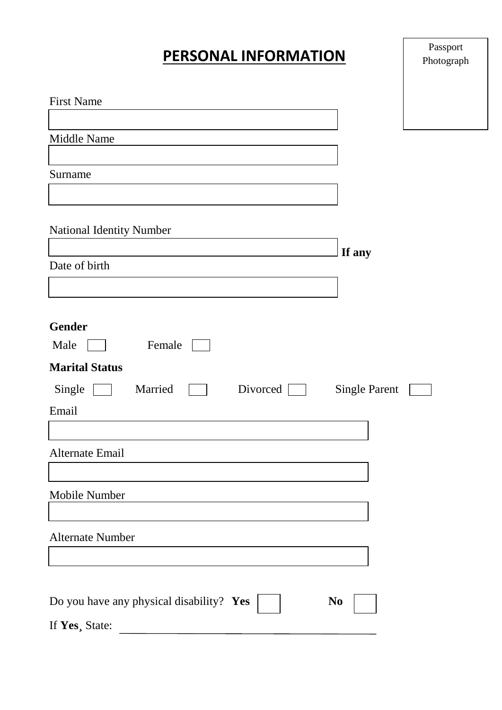# **PERSONAL INFORMATION**

| <b>First Name</b>                                            |  |
|--------------------------------------------------------------|--|
|                                                              |  |
| Middle Name                                                  |  |
| Surname                                                      |  |
| <b>National Identity Number</b>                              |  |
| If any                                                       |  |
| Date of birth                                                |  |
|                                                              |  |
|                                                              |  |
| <b>Gender</b>                                                |  |
| Male<br>Female                                               |  |
| <b>Marital Status</b>                                        |  |
| Single<br>Married<br>Divorced $\Box$<br><b>Single Parent</b> |  |
| Email                                                        |  |
|                                                              |  |
| Alternate Email                                              |  |
|                                                              |  |
| Mobile Number                                                |  |
|                                                              |  |
| <b>Alternate Number</b>                                      |  |
|                                                              |  |
|                                                              |  |
| Do you have any physical disability? Yes<br>N <sub>0</sub>   |  |
| If Yes, State:                                               |  |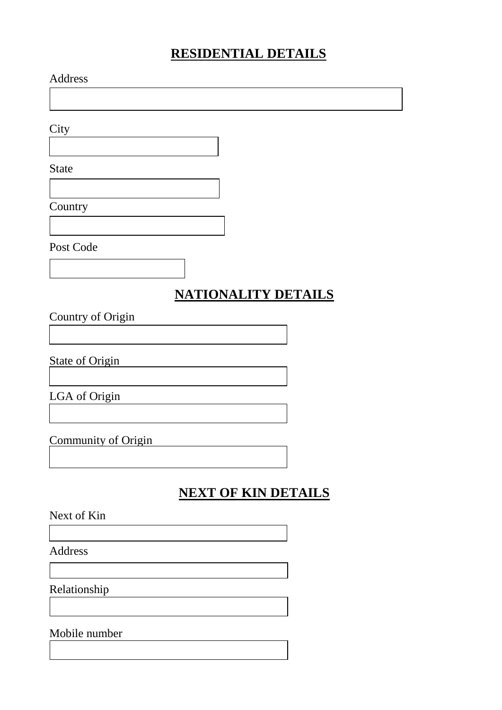# **RESIDENTIAL DETAILS**

| Address                |                            |  |
|------------------------|----------------------------|--|
|                        |                            |  |
| City                   |                            |  |
|                        |                            |  |
| <b>State</b>           |                            |  |
|                        |                            |  |
| Country                |                            |  |
|                        |                            |  |
| Post Code              |                            |  |
|                        |                            |  |
|                        | <b>NATIONALITY DETAILS</b> |  |
| Country of Origin      |                            |  |
|                        |                            |  |
| <b>State of Origin</b> |                            |  |
|                        |                            |  |
| LGA of Origin          |                            |  |
|                        |                            |  |
| Community of Origin    |                            |  |
|                        |                            |  |
|                        | <b>NEXT OF KIN DETAILS</b> |  |
| Next of Kin            |                            |  |
|                        |                            |  |
| Address                |                            |  |
|                        |                            |  |
| Relationship           |                            |  |

Mobile number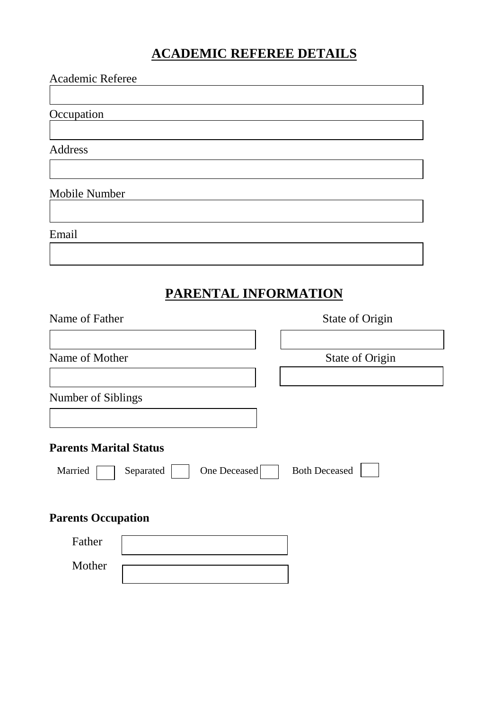# **ACADEMIC REFEREE DETAILS**

| Academic Referee                                                      |                      |
|-----------------------------------------------------------------------|----------------------|
| Occupation                                                            |                      |
| Address                                                               |                      |
| Mobile Number                                                         |                      |
| Email                                                                 |                      |
|                                                                       |                      |
|                                                                       | PARENTAL INFORMATION |
| Name of Father                                                        | State of Origin      |
| Name of Mother                                                        | State of Origin      |
| Number of Siblings                                                    |                      |
| <b>Parents Marital Status</b><br>Separated<br>One Deceased<br>Married | <b>Both Deceased</b> |
| <b>Parents Occupation</b>                                             |                      |
| Father                                                                |                      |
| Mother                                                                |                      |
|                                                                       |                      |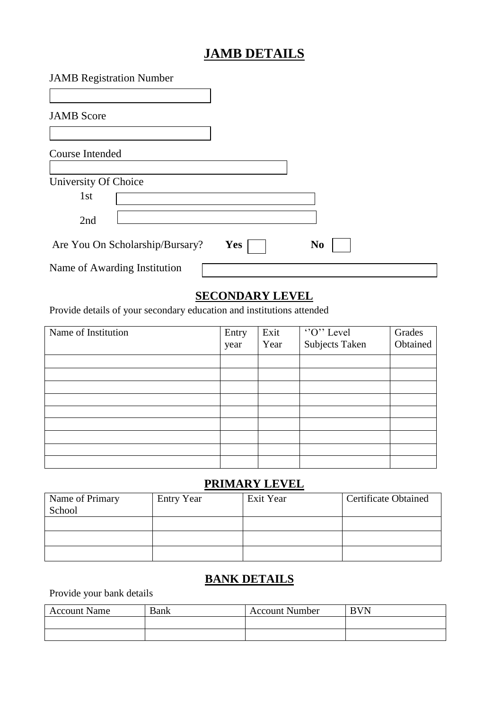# **JAMB DETAILS**

| <b>JAMB</b> Registration Number |            |                |  |
|---------------------------------|------------|----------------|--|
| <b>JAMB</b> Score               |            |                |  |
| Course Intended                 |            |                |  |
| University Of Choice            |            |                |  |
| 1st<br>2nd                      |            |                |  |
| Are You On Scholarship/Bursary? | <b>Yes</b> | N <sub>0</sub> |  |
| Name of Awarding Institution    |            |                |  |

## **SECONDARY LEVEL**

Provide details of your secondary education and institutions attended

| Name of Institution | Entry | Exit |                             | Grades   |
|---------------------|-------|------|-----------------------------|----------|
|                     | year  | Year | "O" Level<br>Subjects Taken | Obtained |
|                     |       |      |                             |          |
|                     |       |      |                             |          |
|                     |       |      |                             |          |
|                     |       |      |                             |          |
|                     |       |      |                             |          |
|                     |       |      |                             |          |
|                     |       |      |                             |          |
|                     |       |      |                             |          |
|                     |       |      |                             |          |

#### **PRIMARY LEVEL**

| Name of Primary<br>School | <b>Entry Year</b> | Exit Year | <b>Certificate Obtained</b> |
|---------------------------|-------------------|-----------|-----------------------------|
|                           |                   |           |                             |
|                           |                   |           |                             |
|                           |                   |           |                             |

### **BANK DETAILS**

Provide your bank details

| <b>Account Name</b> | <b>Bank</b> | <b>Account Number</b> | <b>BVN</b> |
|---------------------|-------------|-----------------------|------------|
|                     |             |                       |            |
|                     |             |                       |            |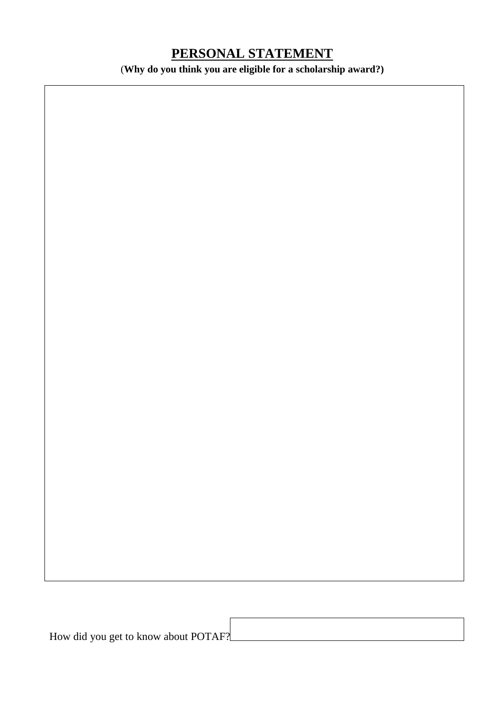# **PERSONAL STATEMENT**

(**Why do you think you are eligible for a scholarship award?)**

How did you get to know about POTAF?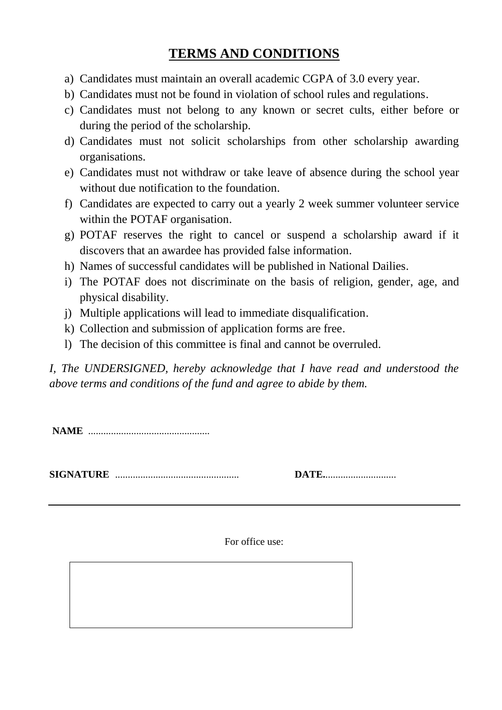## **TERMS AND CONDITIONS**

- a) Candidates must maintain an overall academic CGPA of 3.0 every year.
- b) Candidates must not be found in violation of school rules and regulations.
- c) Candidates must not belong to any known or secret cults, either before or during the period of the scholarship.
- d) Candidates must not solicit scholarships from other scholarship awarding organisations.
- e) Candidates must not withdraw or take leave of absence during the school year without due notification to the foundation.
- f) Candidates are expected to carry out a yearly 2 week summer volunteer service within the POTAF organisation.
- g) POTAF reserves the right to cancel or suspend a scholarship award if it discovers that an awardee has provided false information.
- h) Names of successful candidates will be published in National Dailies.
- i) The POTAF does not discriminate on the basis of religion, gender, age, and physical disability.
- j) Multiple applications will lead to immediate disqualification.
- k) Collection and submission of application forms are free.
- l) The decision of this committee is final and cannot be overruled.

*I, The UNDERSIGNED, hereby acknowledge that I have read and understood the above terms and conditions of the fund and agree to abide by them.*

**NAME** ................................................

**SIGNATURE** ................................................. **DATE.**............................

| <b>DATE</b> |  |
|-------------|--|
|-------------|--|

For office use: